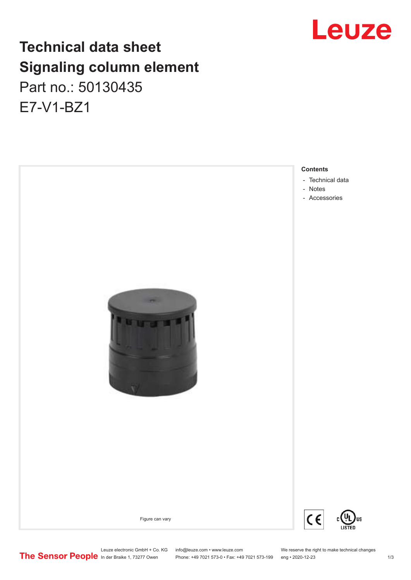# Leuze

# **Technical data sheet Signaling column element** Part no.: 50130435 E7-V1-BZ1



Leuze electronic GmbH + Co. KG info@leuze.com • www.leuze.com We reserve the right to make technical changes<br>
The Sensor People in der Braike 1, 73277 Owen Phone: +49 7021 573-0 • Fax: +49 7021 573-199 eng • 2020-12-23

Phone: +49 7021 573-0 • Fax: +49 7021 573-199 eng • 2020-12-23 1 /3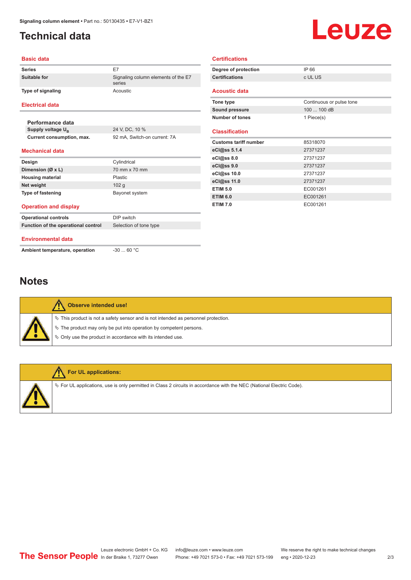## <span id="page-1-0"></span>**Technical data**

# Leuze

#### **Basic data**

| <b>Series</b>                       | E7<br>Signaling column elements of the E7<br>series |  |
|-------------------------------------|-----------------------------------------------------|--|
| Suitable for                        |                                                     |  |
| <b>Type of signaling</b>            | Acoustic                                            |  |
| <b>Electrical data</b>              |                                                     |  |
| Performance data                    |                                                     |  |
| Supply voltage U <sub>B</sub>       | 24 V, DC, 10 %                                      |  |
| Current consumption, max.           | 92 mA, Switch-on current: 7A                        |  |
| <b>Mechanical data</b>              |                                                     |  |
| Design                              | Cylindrical                                         |  |
| Dimension (Ø x L)                   | 70 mm x 70 mm                                       |  |
| <b>Housing material</b>             | Plastic                                             |  |
| Net weight                          | 102q                                                |  |
| <b>Type of fastening</b>            | Bayonet system                                      |  |
| <b>Operation and display</b>        |                                                     |  |
| <b>Operational controls</b>         | DIP switch                                          |  |
| Function of the operational control | Selection of tone type                              |  |
| <b>Environmental data</b>           |                                                     |  |
| Ambient temperature, operation      | $-30$ 60 °C                                         |  |

| Degree of protection         | IP 66                    |
|------------------------------|--------------------------|
| <b>Certifications</b>        | c UL US                  |
| <b>Acoustic data</b>         |                          |
|                              |                          |
| Tone type                    | Continuous or pulse tone |
| <b>Sound pressure</b>        | 100  100 dB              |
| Number of tones              | 1 Piece(s)               |
|                              |                          |
| <b>Classification</b>        |                          |
|                              |                          |
| <b>Customs tariff number</b> | 85318070                 |
| eCl@ss 5.1.4                 | 27371237                 |
| eCl@ss 8.0                   | 27371237                 |
| eCl@ss 9.0                   | 27371237                 |
| eCl@ss 10.0                  | 27371237                 |
| eCl@ss 11.0                  | 27371237                 |
| <b>ETIM 5.0</b>              | EC001261                 |
| <b>ETIM 6.0</b>              | EC001261                 |

**Certifications**

### **Notes**

| Observe intended use!                                                                 |
|---------------------------------------------------------------------------------------|
| $\%$ This product is not a safety sensor and is not intended as personnel protection. |
| $\%$ The product may only be put into operation by competent persons.                 |
| ♦ Only use the product in accordance with its intended use.                           |
|                                                                                       |



#### **For UL applications:**

 $\%$  For UL applications, use is only permitted in Class 2 circuits in accordance with the NEC (National Electric Code).